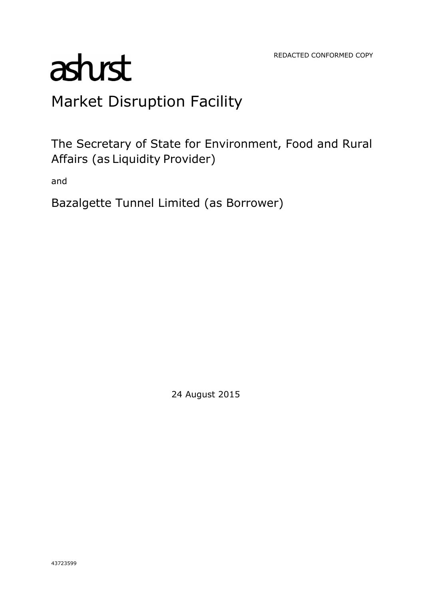REDACTED CONFORMED COPY

# astust

# Market Disruption Facility

The Secretary of State for Environment, Food and Rural Affairs (as Liquidity Provider)

and

Bazalgette Tunnel Limited (as Borrower)

24 August 2015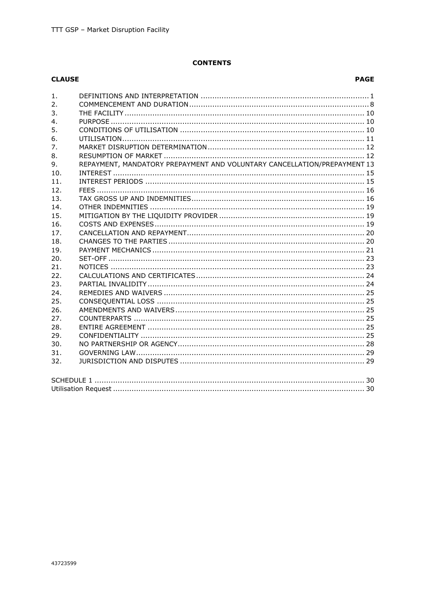# **CONTENTS**

| <b>CLAUSE</b>    |                                                                          | <b>PAGE</b> |  |  |
|------------------|--------------------------------------------------------------------------|-------------|--|--|
| 1.               |                                                                          |             |  |  |
| 2.               |                                                                          |             |  |  |
| 3.               |                                                                          |             |  |  |
| $\overline{4}$ . |                                                                          |             |  |  |
| 5.               |                                                                          |             |  |  |
| 6.               |                                                                          |             |  |  |
| 7.               |                                                                          |             |  |  |
| 8.               |                                                                          |             |  |  |
| 9.               | REPAYMENT, MANDATORY PREPAYMENT AND VOLUNTARY CANCELLATION/PREPAYMENT 13 |             |  |  |
| 10.              |                                                                          |             |  |  |
| 11.              |                                                                          |             |  |  |
| 12.              |                                                                          |             |  |  |
| 13.              |                                                                          |             |  |  |
| 14.              |                                                                          |             |  |  |
| 15.              |                                                                          |             |  |  |
| 16.              |                                                                          |             |  |  |
| 17.              |                                                                          |             |  |  |
| 18.              |                                                                          |             |  |  |
| 19.              |                                                                          |             |  |  |
| 20.              |                                                                          |             |  |  |
| 21.              |                                                                          |             |  |  |
| 22.              |                                                                          |             |  |  |
| 23.              |                                                                          |             |  |  |
| 24.              |                                                                          |             |  |  |
| 25.              |                                                                          |             |  |  |
| 26.              |                                                                          |             |  |  |
| 27.              |                                                                          |             |  |  |
| 28.              |                                                                          |             |  |  |
| 29.              |                                                                          |             |  |  |
| 30.              |                                                                          |             |  |  |
| 31.              |                                                                          |             |  |  |
| 32.              |                                                                          |             |  |  |
|                  |                                                                          |             |  |  |
|                  |                                                                          |             |  |  |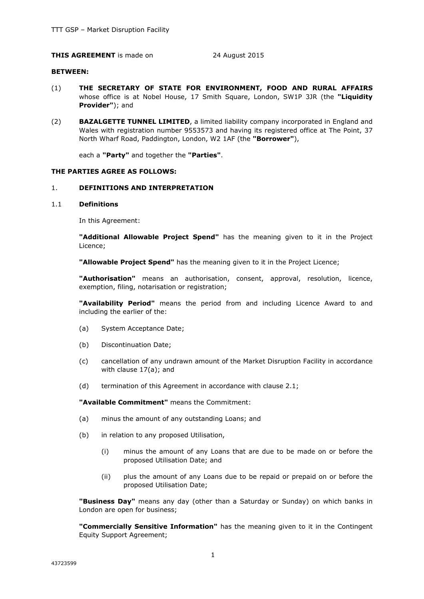# **THIS AGREEMENT** is made on 24 August 2015

#### **BETWEEN:**

- (1) **THE SECRETARY OF STATE FOR ENVIRONMENT, FOOD AND RURAL AFFAIRS** whose office is at Nobel House, 17 Smith Square, London, SW1P 3JR (the **"Liquidity Provider"**); and
- (2) **BAZALGETTE TUNNEL LIMITED**, a limited liability company incorporated in England and Wales with registration number 9553573 and having its registered office at The Point, 37 North Wharf Road, Paddington, London, W2 1AF (the **"Borrower"**),

each a **"Party"** and together the **"Parties"**.

#### **THE PARTIES AGREE AS FOLLOWS:**

#### 1. **DEFINITIONS AND INTERPRETATION**

#### 1.1 **Definitions**

In this Agreement:

**"Additional Allowable Project Spend"** has the meaning given to it in the Project Licence;

**"Allowable Project Spend"** has the meaning given to it in the Project Licence;

**"Authorisation"** means an authorisation, consent, approval, resolution, licence, exemption, filing, notarisation or registration;

**"Availability Period"** means the period from and including Licence Award to and including the earlier of the:

- (a) System Acceptance Date;
- (b) Discontinuation Date;
- (c) cancellation of any undrawn amount of the Market Disruption Facility in accordance with clause 17(a); and
- (d) termination of this Agreement in accordance with clause 2.1;

**"Available Commitment"** means the Commitment:

- (a) minus the amount of any outstanding Loans; and
- (b) in relation to any proposed Utilisation,
	- (i) minus the amount of any Loans that are due to be made on or before the proposed Utilisation Date; and
	- (ii) plus the amount of any Loans due to be repaid or prepaid on or before the proposed Utilisation Date;

**"Business Day"** means any day (other than a Saturday or Sunday) on which banks in London are open for business;

**"Commercially Sensitive Information"** has the meaning given to it in the Contingent Equity Support Agreement;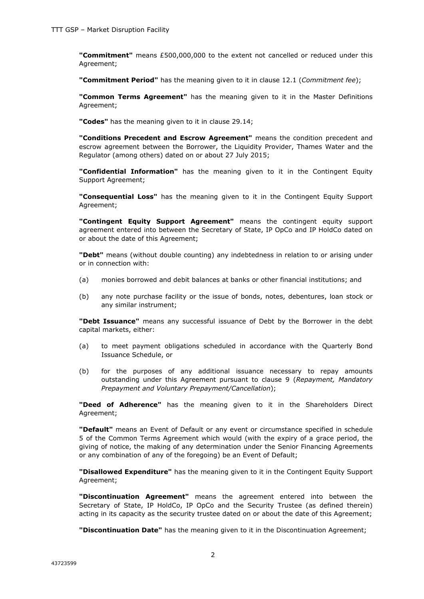**"Commitment"** means £500,000,000 to the extent not cancelled or reduced under this Agreement;

**"Commitment Period"** has the meaning given to it in clause 12.1 (*Commitment fee*);

**"Common Terms Agreement"** has the meaning given to it in the Master Definitions Agreement;

**"Codes"** has the meaning given to it in clause 29.14;

**"Conditions Precedent and Escrow Agreement"** means the condition precedent and escrow agreement between the Borrower, the Liquidity Provider, Thames Water and the Regulator (among others) dated on or about 27 July 2015;

**"Confidential Information"** has the meaning given to it in the Contingent Equity Support Agreement;

**"Consequential Loss"** has the meaning given to it in the Contingent Equity Support Agreement;

**"Contingent Equity Support Agreement"** means the contingent equity support agreement entered into between the Secretary of State, IP OpCo and IP HoldCo dated on or about the date of this Agreement;

**"Debt"** means (without double counting) any indebtedness in relation to or arising under or in connection with:

- (a) monies borrowed and debit balances at banks or other financial institutions; and
- (b) any note purchase facility or the issue of bonds, notes, debentures, loan stock or any similar instrument;

**"Debt Issuance"** means any successful issuance of Debt by the Borrower in the debt capital markets, either:

- (a) to meet payment obligations scheduled in accordance with the Quarterly Bond Issuance Schedule, or
- (b) for the purposes of any additional issuance necessary to repay amounts outstanding under this Agreement pursuant to clause 9 (*Repayment, Mandatory Prepayment and Voluntary Prepayment/Cancellation*);

**"Deed of Adherence"** has the meaning given to it in the Shareholders Direct Agreement;

**"Default"** means an Event of Default or any event or circumstance specified in schedule 5 of the Common Terms Agreement which would (with the expiry of a grace period, the giving of notice, the making of any determination under the Senior Financing Agreements or any combination of any of the foregoing) be an Event of Default;

**"Disallowed Expenditure"** has the meaning given to it in the Contingent Equity Support Agreement;

**"Discontinuation Agreement"** means the agreement entered into between the Secretary of State, IP HoldCo, IP OpCo and the Security Trustee (as defined therein) acting in its capacity as the security trustee dated on or about the date of this Agreement;

**"Discontinuation Date"** has the meaning given to it in the Discontinuation Agreement;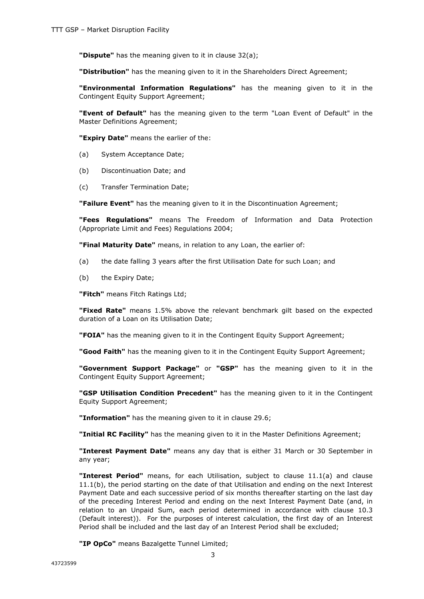**"Dispute"** has the meaning given to it in clause 32(a);

**"Distribution"** has the meaning given to it in the Shareholders Direct Agreement;

**"Environmental Information Regulations"** has the meaning given to it in the Contingent Equity Support Agreement;

**"Event of Default"** has the meaning given to the term "Loan Event of Default" in the Master Definitions Agreement;

**"Expiry Date"** means the earlier of the:

- (a) System Acceptance Date;
- (b) Discontinuation Date; and
- (c) Transfer Termination Date;

**"Failure Event"** has the meaning given to it in the Discontinuation Agreement;

**"Fees Regulations"** means The Freedom of Information and Data Protection (Appropriate Limit and Fees) Regulations 2004;

**"Final Maturity Date"** means, in relation to any Loan, the earlier of:

- (a) the date falling 3 years after the first Utilisation Date for such Loan; and
- (b) the Expiry Date;

**"Fitch"** means Fitch Ratings Ltd;

**"Fixed Rate"** means 1.5% above the relevant benchmark gilt based on the expected duration of a Loan on its Utilisation Date;

**"FOIA"** has the meaning given to it in the Contingent Equity Support Agreement;

**"Good Faith"** has the meaning given to it in the Contingent Equity Support Agreement;

**"Government Support Package"** or **"GSP"** has the meaning given to it in the Contingent Equity Support Agreement;

**"GSP Utilisation Condition Precedent"** has the meaning given to it in the Contingent Equity Support Agreement;

**"Information"** has the meaning given to it in clause 29.6;

**"Initial RC Facility"** has the meaning given to it in the Master Definitions Agreement;

**"Interest Payment Date"** means any day that is either 31 March or 30 September in any year;

**"Interest Period"** means, for each Utilisation, subject to clause 11.1(a) and clause 11.1(b), the period starting on the date of that Utilisation and ending on the next Interest Payment Date and each successive period of six months thereafter starting on the last day of the preceding Interest Period and ending on the next Interest Payment Date (and, in relation to an Unpaid Sum, each period determined in accordance with clause 10.3 (Default interest)). For the purposes of interest calculation, the first day of an Interest Period shall be included and the last day of an Interest Period shall be excluded;

**"IP OpCo"** means Bazalgette Tunnel Limited;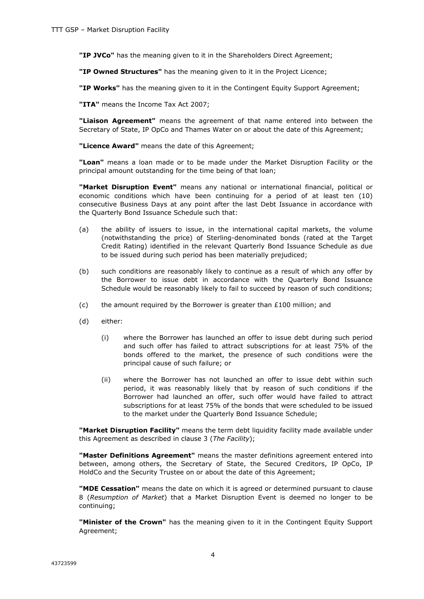**"IP JVCo"** has the meaning given to it in the Shareholders Direct Agreement;

**"IP Owned Structures"** has the meaning given to it in the Project Licence;

**"IP Works"** has the meaning given to it in the Contingent Equity Support Agreement;

**"ITA"** means the Income Tax Act 2007;

**"Liaison Agreement"** means the agreement of that name entered into between the Secretary of State, IP OpCo and Thames Water on or about the date of this Agreement;

**"Licence Award"** means the date of this Agreement;

**"Loan"** means a loan made or to be made under the Market Disruption Facility or the principal amount outstanding for the time being of that loan;

**"Market Disruption Event"** means any national or international financial, political or economic conditions which have been continuing for a period of at least ten (10) consecutive Business Days at any point after the last Debt Issuance in accordance with the Quarterly Bond Issuance Schedule such that:

- (a) the ability of issuers to issue, in the international capital markets, the volume (notwithstanding the price) of Sterling-denominated bonds (rated at the Target Credit Rating) identified in the relevant Quarterly Bond Issuance Schedule as due to be issued during such period has been materially prejudiced;
- (b) such conditions are reasonably likely to continue as a result of which any offer by the Borrower to issue debt in accordance with the Quarterly Bond Issuance Schedule would be reasonably likely to fail to succeed by reason of such conditions;
- (c) the amount required by the Borrower is greater than  $£100$  million; and
- (d) either:
	- (i) where the Borrower has launched an offer to issue debt during such period and such offer has failed to attract subscriptions for at least 75% of the bonds offered to the market, the presence of such conditions were the principal cause of such failure; or
	- (ii) where the Borrower has not launched an offer to issue debt within such period, it was reasonably likely that by reason of such conditions if the Borrower had launched an offer, such offer would have failed to attract subscriptions for at least 75% of the bonds that were scheduled to be issued to the market under the Quarterly Bond Issuance Schedule;

**"Market Disruption Facility"** means the term debt liquidity facility made available under this Agreement as described in clause 3 (*The Facility*);

**"Master Definitions Agreement"** means the master definitions agreement entered into between, among others, the Secretary of State, the Secured Creditors, IP OpCo, IP HoldCo and the Security Trustee on or about the date of this Agreement;

**"MDE Cessation"** means the date on which it is agreed or determined pursuant to clause 8 (*Resumption of Market*) that a Market Disruption Event is deemed no longer to be continuing;

**"Minister of the Crown"** has the meaning given to it in the Contingent Equity Support Agreement;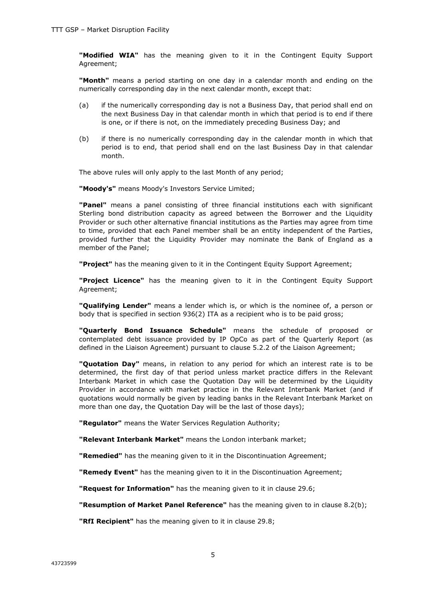**"Modified WIA"** has the meaning given to it in the Contingent Equity Support Agreement;

**"Month"** means a period starting on one day in a calendar month and ending on the numerically corresponding day in the next calendar month, except that:

- (a) if the numerically corresponding day is not a Business Day, that period shall end on the next Business Day in that calendar month in which that period is to end if there is one, or if there is not, on the immediately preceding Business Day; and
- (b) if there is no numerically corresponding day in the calendar month in which that period is to end, that period shall end on the last Business Day in that calendar month.

The above rules will only apply to the last Month of any period;

**"Moody's"** means Moody's Investors Service Limited;

**"Panel"** means a panel consisting of three financial institutions each with significant Sterling bond distribution capacity as agreed between the Borrower and the Liquidity Provider or such other alternative financial institutions as the Parties may agree from time to time, provided that each Panel member shall be an entity independent of the Parties, provided further that the Liquidity Provider may nominate the Bank of England as a member of the Panel;

**"Project"** has the meaning given to it in the Contingent Equity Support Agreement;

**"Project Licence"** has the meaning given to it in the Contingent Equity Support Agreement;

**"Qualifying Lender"** means a lender which is, or which is the nominee of, a person or body that is specified in section 936(2) ITA as a recipient who is to be paid gross;

**"Quarterly Bond Issuance Schedule"** means the schedule of proposed or contemplated debt issuance provided by IP OpCo as part of the Quarterly Report (as defined in the Liaison Agreement) pursuant to clause 5.2.2 of the Liaison Agreement;

**"Quotation Day"** means, in relation to any period for which an interest rate is to be determined, the first day of that period unless market practice differs in the Relevant Interbank Market in which case the Quotation Day will be determined by the Liquidity Provider in accordance with market practice in the Relevant Interbank Market (and if quotations would normally be given by leading banks in the Relevant Interbank Market on more than one day, the Quotation Day will be the last of those days);

**"Regulator"** means the Water Services Regulation Authority;

**"Relevant Interbank Market"** means the London interbank market;

**"Remedied"** has the meaning given to it in the Discontinuation Agreement;

**"Remedy Event"** has the meaning given to it in the Discontinuation Agreement;

**"Request for Information"** has the meaning given to it in clause 29.6;

**"Resumption of Market Panel Reference"** has the meaning given to in clause 8.2(b);

**"RfI Recipient"** has the meaning given to it in clause 29.8;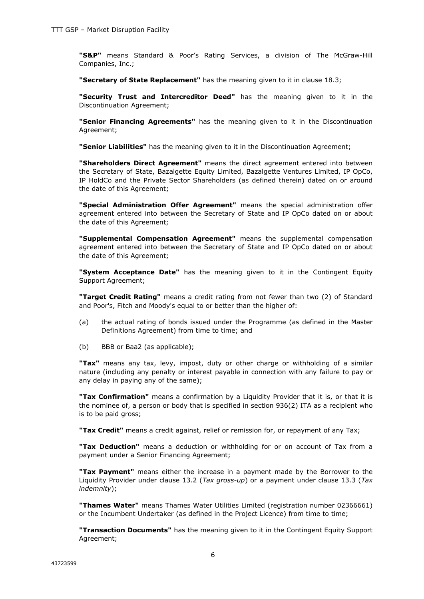**"S&P"** means Standard & Poor's Rating Services, a division of The McGraw-Hill Companies, Inc.;

**"Secretary of State Replacement"** has the meaning given to it in clause 18.3;

**"Security Trust and Intercreditor Deed"** has the meaning given to it in the Discontinuation Agreement;

**"Senior Financing Agreements"** has the meaning given to it in the Discontinuation Agreement;

**"Senior Liabilities"** has the meaning given to it in the Discontinuation Agreement;

**"Shareholders Direct Agreement"** means the direct agreement entered into between the Secretary of State, Bazalgette Equity Limited, Bazalgette Ventures Limited, IP OpCo, IP HoldCo and the Private Sector Shareholders (as defined therein) dated on or around the date of this Agreement;

**"Special Administration Offer Agreement"** means the special administration offer agreement entered into between the Secretary of State and IP OpCo dated on or about the date of this Agreement;

**"Supplemental Compensation Agreement"** means the supplemental compensation agreement entered into between the Secretary of State and IP OpCo dated on or about the date of this Agreement;

**"System Acceptance Date"** has the meaning given to it in the Contingent Equity Support Agreement;

**"Target Credit Rating"** means a credit rating from not fewer than two (2) of Standard and Poor's, Fitch and Moody's equal to or better than the higher of:

- (a) the actual rating of bonds issued under the Programme (as defined in the Master Definitions Agreement) from time to time; and
- (b) BBB or Baa2 (as applicable);

**"Tax"** means any tax, levy, impost, duty or other charge or withholding of a similar nature (including any penalty or interest payable in connection with any failure to pay or any delay in paying any of the same);

**"Tax Confirmation"** means a confirmation by a Liquidity Provider that it is, or that it is the nominee of, a person or body that is specified in section 936(2) ITA as a recipient who is to be paid gross;

**"Tax Credit"** means a credit against, relief or remission for, or repayment of any Tax;

**"Tax Deduction"** means a deduction or withholding for or on account of Tax from a payment under a Senior Financing Agreement;

**"Tax Payment"** means either the increase in a payment made by the Borrower to the Liquidity Provider under clause 13.2 (*Tax gross-up*) or a payment under clause 13.3 (*Tax indemnity*);

**"Thames Water"** means Thames Water Utilities Limited (registration number 02366661) or the Incumbent Undertaker (as defined in the Project Licence) from time to time;

**"Transaction Documents"** has the meaning given to it in the Contingent Equity Support Agreement;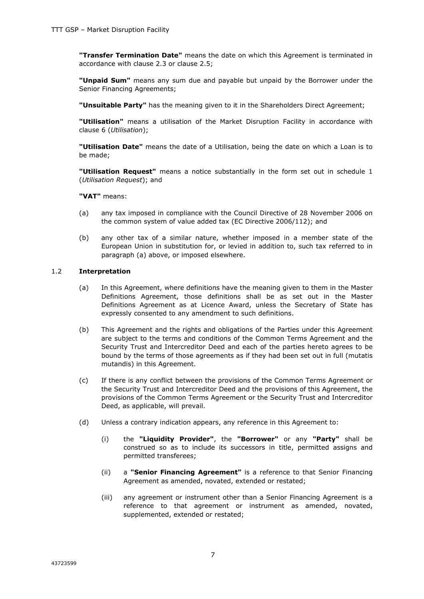**"Transfer Termination Date"** means the date on which this Agreement is terminated in accordance with clause 2.3 or clause 2.5;

**"Unpaid Sum"** means any sum due and payable but unpaid by the Borrower under the Senior Financing Agreements;

**"Unsuitable Party"** has the meaning given to it in the Shareholders Direct Agreement;

**"Utilisation"** means a utilisation of the Market Disruption Facility in accordance with clause 6 (*Utilisation*);

**"Utilisation Date"** means the date of a Utilisation, being the date on which a Loan is to be made;

**"Utilisation Request"** means a notice substantially in the form set out in schedule 1 (*Utilisation Request*); and

**"VAT"** means:

- (a) any tax imposed in compliance with the Council Directive of 28 November 2006 on the common system of value added tax (EC Directive 2006/112); and
- (b) any other tax of a similar nature, whether imposed in a member state of the European Union in substitution for, or levied in addition to, such tax referred to in paragraph (a) above, or imposed elsewhere.

#### 1.2 **Interpretation**

- (a) In this Agreement, where definitions have the meaning given to them in the Master Definitions Agreement, those definitions shall be as set out in the Master Definitions Agreement as at Licence Award, unless the Secretary of State has expressly consented to any amendment to such definitions.
- (b) This Agreement and the rights and obligations of the Parties under this Agreement are subject to the terms and conditions of the Common Terms Agreement and the Security Trust and Intercreditor Deed and each of the parties hereto agrees to be bound by the terms of those agreements as if they had been set out in full (mutatis mutandis) in this Agreement.
- (c) If there is any conflict between the provisions of the Common Terms Agreement or the Security Trust and Intercreditor Deed and the provisions of this Agreement, the provisions of the Common Terms Agreement or the Security Trust and Intercreditor Deed, as applicable, will prevail.
- (d) Unless a contrary indication appears, any reference in this Agreement to:
	- (i) the **"Liquidity Provider"**, the **"Borrower"** or any **"Party"** shall be construed so as to include its successors in title, permitted assigns and permitted transferees;
	- (ii) a **"Senior Financing Agreement"** is a reference to that Senior Financing Agreement as amended, novated, extended or restated;
	- (iii) any agreement or instrument other than a Senior Financing Agreement is a reference to that agreement or instrument as amended, novated, supplemented, extended or restated;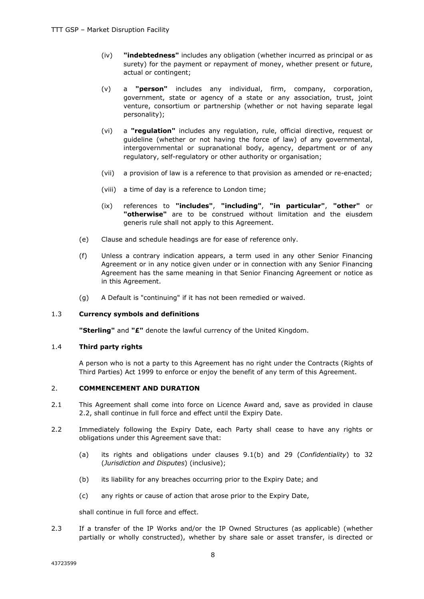- (iv) **"indebtedness"** includes any obligation (whether incurred as principal or as surety) for the payment or repayment of money, whether present or future, actual or contingent;
- (v) a **"person"** includes any individual, firm, company, corporation, government, state or agency of a state or any association, trust, joint venture, consortium or partnership (whether or not having separate legal personality);
- (vi) a **"regulation"** includes any regulation, rule, official directive, request or guideline (whether or not having the force of law) of any governmental, intergovernmental or supranational body, agency, department or of any regulatory, self-regulatory or other authority or organisation;
- (vii) a provision of law is a reference to that provision as amended or re-enacted;
- (viii) a time of day is a reference to London time;
- (ix) references to **"includes"**, **"including"**, **"in particular"**, **"other"** or **"otherwise"** are to be construed without limitation and the eiusdem generis rule shall not apply to this Agreement.
- (e) Clause and schedule headings are for ease of reference only.
- (f) Unless a contrary indication appears, a term used in any other Senior Financing Agreement or in any notice given under or in connection with any Senior Financing Agreement has the same meaning in that Senior Financing Agreement or notice as in this Agreement.
- (g) A Default is "continuing" if it has not been remedied or waived.

# 1.3 **Currency symbols and definitions**

**"Sterling"** and **"£"** denote the lawful currency of the United Kingdom.

# 1.4 **Third party rights**

A person who is not a party to this Agreement has no right under the Contracts (Rights of Third Parties) Act 1999 to enforce or enjoy the benefit of any term of this Agreement.

# 2. **COMMENCEMENT AND DURATION**

- 2.1 This Agreement shall come into force on Licence Award and, save as provided in clause 2.2, shall continue in full force and effect until the Expiry Date.
- 2.2 Immediately following the Expiry Date, each Party shall cease to have any rights or obligations under this Agreement save that:
	- (a) its rights and obligations under clauses 9.1(b) and 29 (*Confidentiality*) to 32 (*Jurisdiction and Disputes*) (inclusive);
	- (b) its liability for any breaches occurring prior to the Expiry Date; and
	- (c) any rights or cause of action that arose prior to the Expiry Date,

shall continue in full force and effect.

2.3 If a transfer of the IP Works and/or the IP Owned Structures (as applicable) (whether partially or wholly constructed), whether by share sale or asset transfer, is directed or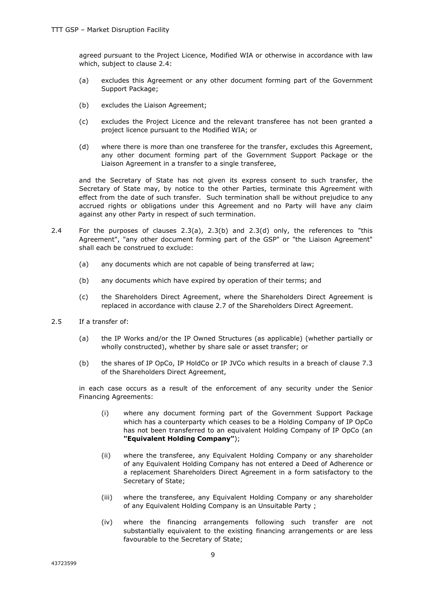agreed pursuant to the Project Licence, Modified WIA or otherwise in accordance with law which, subject to clause 2.4:

- (a) excludes this Agreement or any other document forming part of the Government Support Package;
- (b) excludes the Liaison Agreement;
- (c) excludes the Project Licence and the relevant transferee has not been granted a project licence pursuant to the Modified WIA; or
- (d) where there is more than one transferee for the transfer, excludes this Agreement, any other document forming part of the Government Support Package or the Liaison Agreement in a transfer to a single transferee,

and the Secretary of State has not given its express consent to such transfer, the Secretary of State may, by notice to the other Parties, terminate this Agreement with effect from the date of such transfer. Such termination shall be without prejudice to any accrued rights or obligations under this Agreement and no Party will have any claim against any other Party in respect of such termination.

- 2.4 For the purposes of clauses 2.3(a), 2.3(b) and 2.3(d) only, the references to "this Agreement", "any other document forming part of the GSP" or "the Liaison Agreement" shall each be construed to exclude:
	- (a) any documents which are not capable of being transferred at law;
	- (b) any documents which have expired by operation of their terms; and
	- (c) the Shareholders Direct Agreement, where the Shareholders Direct Agreement is replaced in accordance with clause 2.7 of the Shareholders Direct Agreement.
- 2.5 If a transfer of:
	- (a) the IP Works and/or the IP Owned Structures (as applicable) (whether partially or wholly constructed), whether by share sale or asset transfer; or
	- (b) the shares of IP OpCo, IP HoldCo or IP JVCo which results in a breach of clause 7.3 of the Shareholders Direct Agreement,

in each case occurs as a result of the enforcement of any security under the Senior Financing Agreements:

- (i) where any document forming part of the Government Support Package which has a counterparty which ceases to be a Holding Company of IP OpCo has not been transferred to an equivalent Holding Company of IP OpCo (an **"Equivalent Holding Company"**);
- (ii) where the transferee, any Equivalent Holding Company or any shareholder of any Equivalent Holding Company has not entered a Deed of Adherence or a replacement Shareholders Direct Agreement in a form satisfactory to the Secretary of State;
- (iii) where the transferee, any Equivalent Holding Company or any shareholder of any Equivalent Holding Company is an Unsuitable Party ;
- (iv) where the financing arrangements following such transfer are not substantially equivalent to the existing financing arrangements or are less favourable to the Secretary of State;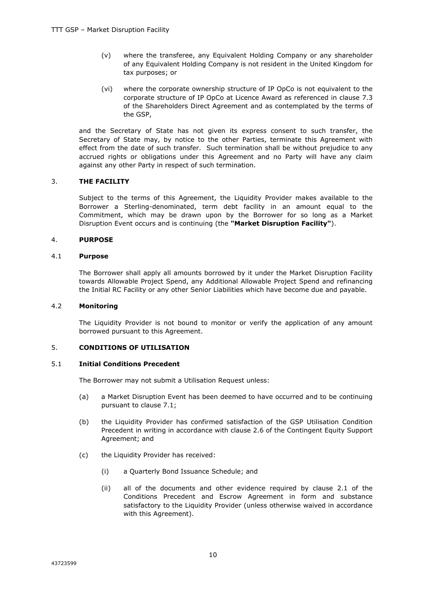- (v) where the transferee, any Equivalent Holding Company or any shareholder of any Equivalent Holding Company is not resident in the United Kingdom for tax purposes; or
- (vi) where the corporate ownership structure of IP OpCo is not equivalent to the corporate structure of IP OpCo at Licence Award as referenced in clause 7.3 of the Shareholders Direct Agreement and as contemplated by the terms of the GSP,

and the Secretary of State has not given its express consent to such transfer, the Secretary of State may, by notice to the other Parties, terminate this Agreement with effect from the date of such transfer. Such termination shall be without prejudice to any accrued rights or obligations under this Agreement and no Party will have any claim against any other Party in respect of such termination.

# 3. **THE FACILITY**

Subject to the terms of this Agreement, the Liquidity Provider makes available to the Borrower a Sterling-denominated, term debt facility in an amount equal to the Commitment, which may be drawn upon by the Borrower for so long as a Market Disruption Event occurs and is continuing (the **"Market Disruption Facility"**).

# 4. **PURPOSE**

# 4.1 **Purpose**

The Borrower shall apply all amounts borrowed by it under the Market Disruption Facility towards Allowable Project Spend, any Additional Allowable Project Spend and refinancing the Initial RC Facility or any other Senior Liabilities which have become due and payable.

# 4.2 **Monitoring**

The Liquidity Provider is not bound to monitor or verify the application of any amount borrowed pursuant to this Agreement.

# 5. **CONDITIONS OF UTILISATION**

# 5.1 **Initial Conditions Precedent**

The Borrower may not submit a Utilisation Request unless:

- (a) a Market Disruption Event has been deemed to have occurred and to be continuing pursuant to clause 7.1;
- (b) the Liquidity Provider has confirmed satisfaction of the GSP Utilisation Condition Precedent in writing in accordance with clause 2.6 of the Contingent Equity Support Agreement; and
- (c) the Liquidity Provider has received:
	- (i) a Quarterly Bond Issuance Schedule; and
	- (ii) all of the documents and other evidence required by clause 2.1 of the Conditions Precedent and Escrow Agreement in form and substance satisfactory to the Liquidity Provider (unless otherwise waived in accordance with this Agreement).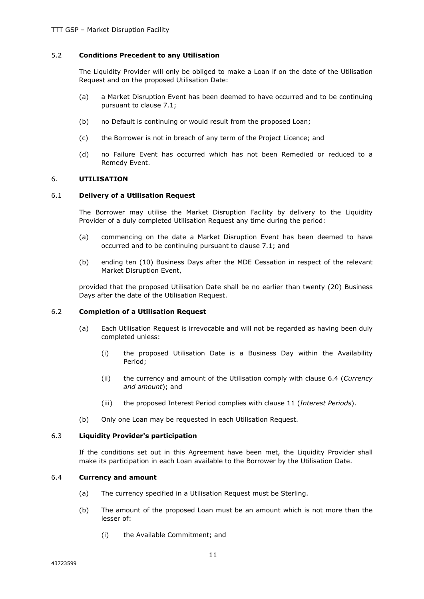# 5.2 **Conditions Precedent to any Utilisation**

The Liquidity Provider will only be obliged to make a Loan if on the date of the Utilisation Request and on the proposed Utilisation Date:

- (a) a Market Disruption Event has been deemed to have occurred and to be continuing pursuant to clause 7.1;
- (b) no Default is continuing or would result from the proposed Loan;
- (c) the Borrower is not in breach of any term of the Project Licence; and
- (d) no Failure Event has occurred which has not been Remedied or reduced to a Remedy Event.

#### 6. **UTILISATION**

#### 6.1 **Delivery of a Utilisation Request**

The Borrower may utilise the Market Disruption Facility by delivery to the Liquidity Provider of a duly completed Utilisation Request any time during the period:

- (a) commencing on the date a Market Disruption Event has been deemed to have occurred and to be continuing pursuant to clause 7.1; and
- (b) ending ten (10) Business Days after the MDE Cessation in respect of the relevant Market Disruption Event,

provided that the proposed Utilisation Date shall be no earlier than twenty (20) Business Days after the date of the Utilisation Request.

# 6.2 **Completion of a Utilisation Request**

- (a) Each Utilisation Request is irrevocable and will not be regarded as having been duly completed unless:
	- (i) the proposed Utilisation Date is a Business Day within the Availability Period;
	- (ii) the currency and amount of the Utilisation comply with clause 6.4 (*Currency and amount*); and
	- (iii) the proposed Interest Period complies with clause 11 (*Interest Periods*).
- (b) Only one Loan may be requested in each Utilisation Request.

#### 6.3 **Liquidity Provider's participation**

If the conditions set out in this Agreement have been met, the Liquidity Provider shall make its participation in each Loan available to the Borrower by the Utilisation Date.

#### 6.4 **Currency and amount**

- (a) The currency specified in a Utilisation Request must be Sterling.
- (b) The amount of the proposed Loan must be an amount which is not more than the lesser of:
	- (i) the Available Commitment; and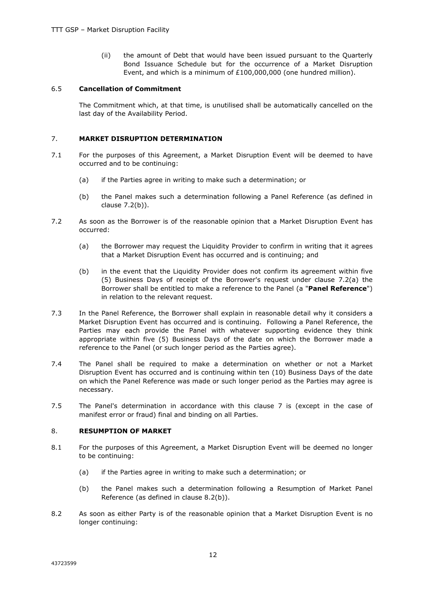(ii) the amount of Debt that would have been issued pursuant to the Quarterly Bond Issuance Schedule but for the occurrence of a Market Disruption Event, and which is a minimum of £100,000,000 (one hundred million).

# 6.5 **Cancellation of Commitment**

The Commitment which, at that time, is unutilised shall be automatically cancelled on the last day of the Availability Period.

# 7. **MARKET DISRUPTION DETERMINATION**

- 7.1 For the purposes of this Agreement, a Market Disruption Event will be deemed to have occurred and to be continuing:
	- (a) if the Parties agree in writing to make such a determination; or
	- (b) the Panel makes such a determination following a Panel Reference (as defined in clause 7.2(b)).
- 7.2 As soon as the Borrower is of the reasonable opinion that a Market Disruption Event has occurred:
	- (a) the Borrower may request the Liquidity Provider to confirm in writing that it agrees that a Market Disruption Event has occurred and is continuing; and
	- (b) in the event that the Liquidity Provider does not confirm its agreement within five (5) Business Days of receipt of the Borrower's request under clause 7.2(a) the Borrower shall be entitled to make a reference to the Panel (a "**Panel Reference**") in relation to the relevant request.
- 7.3 In the Panel Reference, the Borrower shall explain in reasonable detail why it considers a Market Disruption Event has occurred and is continuing. Following a Panel Reference, the Parties may each provide the Panel with whatever supporting evidence they think appropriate within five (5) Business Days of the date on which the Borrower made a reference to the Panel (or such longer period as the Parties agree).
- 7.4 The Panel shall be required to make a determination on whether or not a Market Disruption Event has occurred and is continuing within ten (10) Business Days of the date on which the Panel Reference was made or such longer period as the Parties may agree is necessary.
- 7.5 The Panel's determination in accordance with this clause 7 is (except in the case of manifest error or fraud) final and binding on all Parties.

# 8. **RESUMPTION OF MARKET**

- 8.1 For the purposes of this Agreement, a Market Disruption Event will be deemed no longer to be continuing:
	- (a) if the Parties agree in writing to make such a determination; or
	- (b) the Panel makes such a determination following a Resumption of Market Panel Reference (as defined in clause 8.2(b)).
- 8.2 As soon as either Party is of the reasonable opinion that a Market Disruption Event is no longer continuing: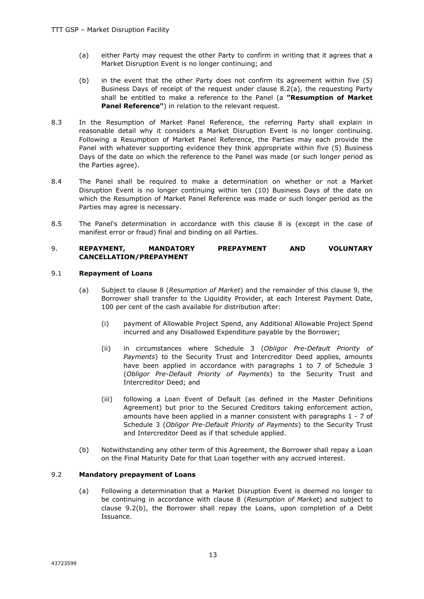- (a) either Party may request the other Party to confirm in writing that it agrees that a Market Disruption Event is no longer continuing; and
- (b) in the event that the other Party does not confirm its agreement within five (5) Business Days of receipt of the request under clause 8.2(a), the requesting Party shall be entitled to make a reference to the Panel (a **"Resumption of Market Panel Reference"**) in relation to the relevant request.
- 8.3 In the Resumption of Market Panel Reference, the referring Party shall explain in reasonable detail why it considers a Market Disruption Event is no longer continuing. Following a Resumption of Market Panel Reference, the Parties may each provide the Panel with whatever supporting evidence they think appropriate within five (5) Business Days of the date on which the reference to the Panel was made (or such longer period as the Parties agree).
- 8.4 The Panel shall be required to make a determination on whether or not a Market Disruption Event is no longer continuing within ten (10) Business Days of the date on which the Resumption of Market Panel Reference was made or such longer period as the Parties may agree is necessary.
- 8.5 The Panel's determination in accordance with this clause 8 is (except in the case of manifest error or fraud) final and binding on all Parties.

# 9. **REPAYMENT, MANDATORY PREPAYMENT AND VOLUNTARY CANCELLATION/PREPAYMENT**

# 9.1 **Repayment of Loans**

- (a) Subject to clause 8 (*Resumption of Market*) and the remainder of this clause 9, the Borrower shall transfer to the Liquidity Provider, at each Interest Payment Date, 100 per cent of the cash available for distribution after:
	- (i) payment of Allowable Project Spend, any Additional Allowable Project Spend incurred and any Disallowed Expenditure payable by the Borrower;
	- (ii) in circumstances where Schedule 3 (*Obligor Pre-Default Priority of Payments*) to the Security Trust and Intercreditor Deed applies, amounts have been applied in accordance with paragraphs 1 to 7 of Schedule 3 (*Obligor Pre-Default Priority of Payments*) to the Security Trust and Intercreditor Deed; and
	- (iii) following a Loan Event of Default (as defined in the Master Definitions Agreement) but prior to the Secured Creditors taking enforcement action, amounts have been applied in a manner consistent with paragraphs 1 - 7 of Schedule 3 (*Obligor Pre-Default Priority of Payments*) to the Security Trust and Intercreditor Deed as if that schedule applied.
- (b) Notwithstanding any other term of this Agreement, the Borrower shall repay a Loan on the Final Maturity Date for that Loan together with any accrued interest.

# 9.2 **Mandatory prepayment of Loans**

(a) Following a determination that a Market Disruption Event is deemed no longer to be continuing in accordance with clause 8 (*Resumption of Market*) and subject to clause 9.2(b), the Borrower shall repay the Loans, upon completion of a Debt Issuance.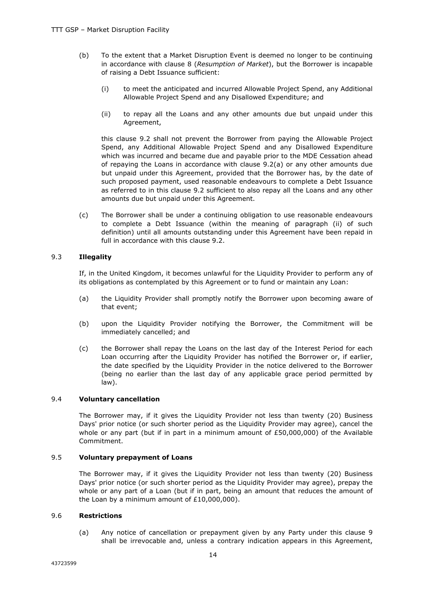- (b) To the extent that a Market Disruption Event is deemed no longer to be continuing in accordance with clause 8 (*Resumption of Market*), but the Borrower is incapable of raising a Debt Issuance sufficient:
	- (i) to meet the anticipated and incurred Allowable Project Spend, any Additional Allowable Project Spend and any Disallowed Expenditure; and
	- (ii) to repay all the Loans and any other amounts due but unpaid under this Agreement,

this clause 9.2 shall not prevent the Borrower from paying the Allowable Project Spend, any Additional Allowable Project Spend and any Disallowed Expenditure which was incurred and became due and payable prior to the MDE Cessation ahead of repaying the Loans in accordance with clause 9.2(a) or any other amounts due but unpaid under this Agreement, provided that the Borrower has, by the date of such proposed payment, used reasonable endeavours to complete a Debt Issuance as referred to in this clause 9.2 sufficient to also repay all the Loans and any other amounts due but unpaid under this Agreement.

(c) The Borrower shall be under a continuing obligation to use reasonable endeavours to complete a Debt Issuance (within the meaning of paragraph (ii) of such definition) until all amounts outstanding under this Agreement have been repaid in full in accordance with this clause 9.2.

# 9.3 **Illegality**

If, in the United Kingdom, it becomes unlawful for the Liquidity Provider to perform any of its obligations as contemplated by this Agreement or to fund or maintain any Loan:

- (a) the Liquidity Provider shall promptly notify the Borrower upon becoming aware of that event;
- (b) upon the Liquidity Provider notifying the Borrower, the Commitment will be immediately cancelled; and
- (c) the Borrower shall repay the Loans on the last day of the Interest Period for each Loan occurring after the Liquidity Provider has notified the Borrower or, if earlier, the date specified by the Liquidity Provider in the notice delivered to the Borrower (being no earlier than the last day of any applicable grace period permitted by law).

# 9.4 **Voluntary cancellation**

The Borrower may, if it gives the Liquidity Provider not less than twenty (20) Business Days' prior notice (or such shorter period as the Liquidity Provider may agree), cancel the whole or any part (but if in part in a minimum amount of £50,000,000) of the Available Commitment.

# 9.5 **Voluntary prepayment of Loans**

The Borrower may, if it gives the Liquidity Provider not less than twenty (20) Business Days' prior notice (or such shorter period as the Liquidity Provider may agree), prepay the whole or any part of a Loan (but if in part, being an amount that reduces the amount of the Loan by a minimum amount of £10,000,000).

# 9.6 **Restrictions**

(a) Any notice of cancellation or prepayment given by any Party under this clause 9 shall be irrevocable and, unless a contrary indication appears in this Agreement,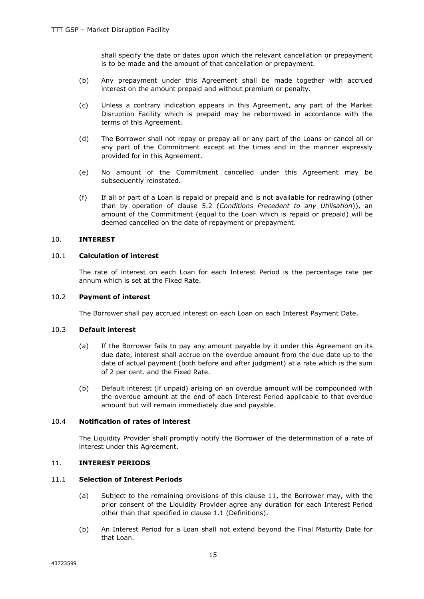shall specify the date or dates upon which the relevant cancellation or prepayment is to be made and the amount of that cancellation or prepayment.

- (b) Any prepayment under this Agreement shall be made together with accrued interest on the amount prepaid and without premium or penalty.
- (c) Unless a contrary indication appears in this Agreement, any part of the Market Disruption Facility which is prepaid may be reborrowed in accordance with the terms of this Agreement.
- (d) The Borrower shall not repay or prepay all or any part of the Loans or cancel all or any part of the Commitment except at the times and in the manner expressly provided for in this Agreement.
- (e) No amount of the Commitment cancelled under this Agreement may be subsequently reinstated.
- (f) If all or part of a Loan is repaid or prepaid and is not available for redrawing (other than by operation of clause 5.2 (*Conditions Precedent to any Utilisation*)), an amount of the Commitment (equal to the Loan which is repaid or prepaid) will be deemed cancelled on the date of repayment or prepayment.

# 10. **INTEREST**

# 10.1 **Calculation of interest**

The rate of interest on each Loan for each Interest Period is the percentage rate per annum which is set at the Fixed Rate.

# 10.2 **Payment of interest**

The Borrower shall pay accrued interest on each Loan on each Interest Payment Date.

# 10.3 **Default interest**

- (a) If the Borrower fails to pay any amount payable by it under this Agreement on its due date, interest shall accrue on the overdue amount from the due date up to the date of actual payment (both before and after judgment) at a rate which is the sum of 2 per cent. and the Fixed Rate.
- (b) Default interest (if unpaid) arising on an overdue amount will be compounded with the overdue amount at the end of each Interest Period applicable to that overdue amount but will remain immediately due and payable.

# 10.4 **Notification of rates of interest**

The Liquidity Provider shall promptly notify the Borrower of the determination of a rate of interest under this Agreement.

# 11. **INTEREST PERIODS**

# 11.1 **Selection of Interest Periods**

- (a) Subject to the remaining provisions of this clause 11, the Borrower may, with the prior consent of the Liquidity Provider agree any duration for each Interest Period other than that specified in clause 1.1 (Definitions).
- (b) An Interest Period for a Loan shall not extend beyond the Final Maturity Date for that Loan.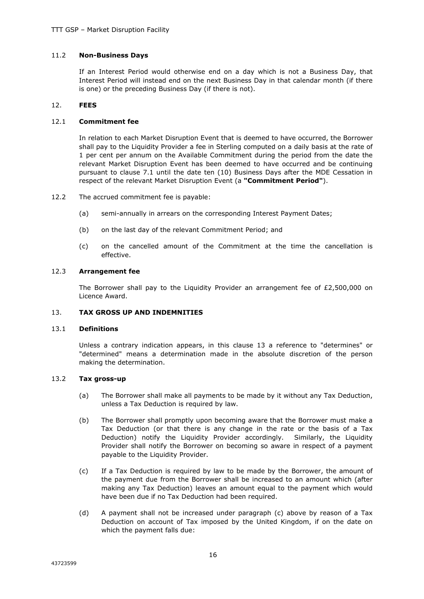# 11.2 **Non-Business Days**

If an Interest Period would otherwise end on a day which is not a Business Day, that Interest Period will instead end on the next Business Day in that calendar month (if there is one) or the preceding Business Day (if there is not).

# 12. **FEES**

# 12.1 **Commitment fee**

In relation to each Market Disruption Event that is deemed to have occurred, the Borrower shall pay to the Liquidity Provider a fee in Sterling computed on a daily basis at the rate of 1 per cent per annum on the Available Commitment during the period from the date the relevant Market Disruption Event has been deemed to have occurred and be continuing pursuant to clause 7.1 until the date ten (10) Business Days after the MDE Cessation in respect of the relevant Market Disruption Event (a **"Commitment Period"**).

- 12.2 The accrued commitment fee is payable:
	- (a) semi-annually in arrears on the corresponding Interest Payment Dates;
	- (b) on the last day of the relevant Commitment Period; and
	- (c) on the cancelled amount of the Commitment at the time the cancellation is effective.

# 12.3 **Arrangement fee**

The Borrower shall pay to the Liquidity Provider an arrangement fee of  $E2,500,000$  on Licence Award.

# 13. **TAX GROSS UP AND INDEMNITIES**

# 13.1 **Definitions**

Unless a contrary indication appears, in this clause 13 a reference to "determines" or "determined" means a determination made in the absolute discretion of the person making the determination.

# 13.2 **Tax gross-up**

- (a) The Borrower shall make all payments to be made by it without any Tax Deduction, unless a Tax Deduction is required by law.
- (b) The Borrower shall promptly upon becoming aware that the Borrower must make a Tax Deduction (or that there is any change in the rate or the basis of a Tax Deduction) notify the Liquidity Provider accordingly. Similarly, the Liquidity Provider shall notify the Borrower on becoming so aware in respect of a payment payable to the Liquidity Provider.
- (c) If a Tax Deduction is required by law to be made by the Borrower, the amount of the payment due from the Borrower shall be increased to an amount which (after making any Tax Deduction) leaves an amount equal to the payment which would have been due if no Tax Deduction had been required.
- (d) A payment shall not be increased under paragraph (c) above by reason of a Tax Deduction on account of Tax imposed by the United Kingdom, if on the date on which the payment falls due: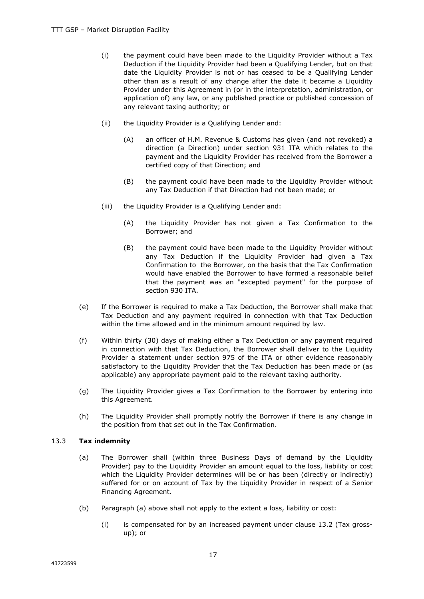- (i) the payment could have been made to the Liquidity Provider without a Tax Deduction if the Liquidity Provider had been a Qualifying Lender, but on that date the Liquidity Provider is not or has ceased to be a Qualifying Lender other than as a result of any change after the date it became a Liquidity Provider under this Agreement in (or in the interpretation, administration, or application of) any law, or any published practice or published concession of any relevant taxing authority; or
- (ii) the Liquidity Provider is a Qualifying Lender and:
	- (A) an officer of H.M. Revenue & Customs has given (and not revoked) a direction (a Direction) under section 931 ITA which relates to the payment and the Liquidity Provider has received from the Borrower a certified copy of that Direction; and
	- (B) the payment could have been made to the Liquidity Provider without any Tax Deduction if that Direction had not been made; or
- (iii) the Liquidity Provider is a Qualifying Lender and:
	- (A) the Liquidity Provider has not given a Tax Confirmation to the Borrower; and
	- (B) the payment could have been made to the Liquidity Provider without any Tax Deduction if the Liquidity Provider had given a Tax Confirmation to the Borrower, on the basis that the Tax Confirmation would have enabled the Borrower to have formed a reasonable belief that the payment was an "excepted payment" for the purpose of section 930 ITA.
- (e) If the Borrower is required to make a Tax Deduction, the Borrower shall make that Tax Deduction and any payment required in connection with that Tax Deduction within the time allowed and in the minimum amount required by law.
- (f) Within thirty (30) days of making either a Tax Deduction or any payment required in connection with that Tax Deduction, the Borrower shall deliver to the Liquidity Provider a statement under section 975 of the ITA or other evidence reasonably satisfactory to the Liquidity Provider that the Tax Deduction has been made or (as applicable) any appropriate payment paid to the relevant taxing authority.
- (g) The Liquidity Provider gives a Tax Confirmation to the Borrower by entering into this Agreement.
- (h) The Liquidity Provider shall promptly notify the Borrower if there is any change in the position from that set out in the Tax Confirmation.

# 13.3 **Tax indemnity**

- (a) The Borrower shall (within three Business Days of demand by the Liquidity Provider) pay to the Liquidity Provider an amount equal to the loss, liability or cost which the Liquidity Provider determines will be or has been (directly or indirectly) suffered for or on account of Tax by the Liquidity Provider in respect of a Senior Financing Agreement.
- (b) Paragraph (a) above shall not apply to the extent a loss, liability or cost:
	- (i) is compensated for by an increased payment under clause 13.2 (Tax grossup); or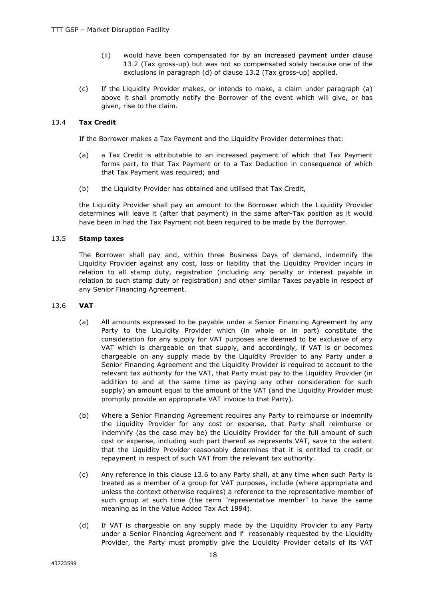- (ii) would have been compensated for by an increased payment under clause 13.2 (Tax gross-up) but was not so compensated solely because one of the exclusions in paragraph (d) of clause 13.2 (Tax gross-up) applied.
- (c) If the Liquidity Provider makes, or intends to make, a claim under paragraph (a) above it shall promptly notify the Borrower of the event which will give, or has given, rise to the claim.

# 13.4 **Tax Credit**

If the Borrower makes a Tax Payment and the Liquidity Provider determines that:

- (a) a Tax Credit is attributable to an increased payment of which that Tax Payment forms part, to that Tax Payment or to a Tax Deduction in consequence of which that Tax Payment was required; and
- (b) the Liquidity Provider has obtained and utilised that Tax Credit,

the Liquidity Provider shall pay an amount to the Borrower which the Liquidity Provider determines will leave it (after that payment) in the same after-Tax position as it would have been in had the Tax Payment not been required to be made by the Borrower.

# 13.5 **Stamp taxes**

The Borrower shall pay and, within three Business Days of demand, indemnify the Liquidity Provider against any cost, loss or liability that the Liquidity Provider incurs in relation to all stamp duty, registration (including any penalty or interest payable in relation to such stamp duty or registration) and other similar Taxes payable in respect of any Senior Financing Agreement.

# 13.6 **VAT**

- (a) All amounts expressed to be payable under a Senior Financing Agreement by any Party to the Liquidity Provider which (in whole or in part) constitute the consideration for any supply for VAT purposes are deemed to be exclusive of any VAT which is chargeable on that supply, and accordingly, if VAT is or becomes chargeable on any supply made by the Liquidity Provider to any Party under a Senior Financing Agreement and the Liquidity Provider is required to account to the relevant tax authority for the VAT, that Party must pay to the Liquidity Provider (in addition to and at the same time as paying any other consideration for such supply) an amount equal to the amount of the VAT (and the Liquidity Provider must promptly provide an appropriate VAT invoice to that Party).
- (b) Where a Senior Financing Agreement requires any Party to reimburse or indemnify the Liquidity Provider for any cost or expense, that Party shall reimburse or indemnify (as the case may be) the Liquidity Provider for the full amount of such cost or expense, including such part thereof as represents VAT, save to the extent that the Liquidity Provider reasonably determines that it is entitled to credit or repayment in respect of such VAT from the relevant tax authority.
- (c) Any reference in this clause 13.6 to any Party shall, at any time when such Party is treated as a member of a group for VAT purposes, include (where appropriate and unless the context otherwise requires) a reference to the representative member of such group at such time (the term "representative member" to have the same meaning as in the Value Added Tax Act 1994).
- (d) If VAT is chargeable on any supply made by the Liquidity Provider to any Party under a Senior Financing Agreement and if reasonably requested by the Liquidity Provider, the Party must promptly give the Liquidity Provider details of its VAT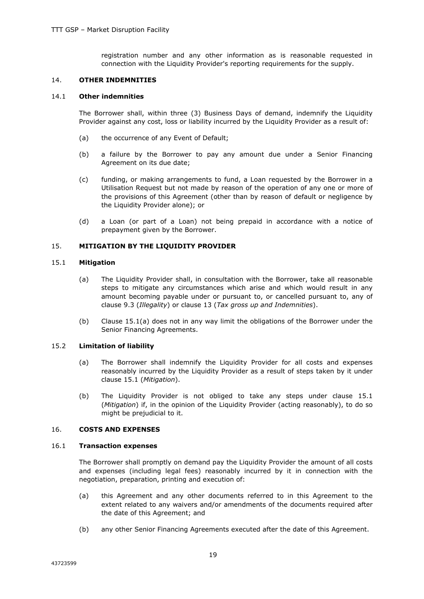registration number and any other information as is reasonable requested in connection with the Liquidity Provider's reporting requirements for the supply.

#### 14. **OTHER INDEMNITIES**

#### 14.1 **Other indemnities**

The Borrower shall, within three (3) Business Days of demand, indemnify the Liquidity Provider against any cost, loss or liability incurred by the Liquidity Provider as a result of:

- (a) the occurrence of any Event of Default;
- (b) a failure by the Borrower to pay any amount due under a Senior Financing Agreement on its due date;
- (c) funding, or making arrangements to fund, a Loan requested by the Borrower in a Utilisation Request but not made by reason of the operation of any one or more of the provisions of this Agreement (other than by reason of default or negligence by the Liquidity Provider alone); or
- (d) a Loan (or part of a Loan) not being prepaid in accordance with a notice of prepayment given by the Borrower.

# 15. **MITIGATION BY THE LIQUIDITY PROVIDER**

# 15.1 **Mitigation**

- (a) The Liquidity Provider shall, in consultation with the Borrower, take all reasonable steps to mitigate any circumstances which arise and which would result in any amount becoming payable under or pursuant to, or cancelled pursuant to, any of clause 9.3 (*Illegality*) or clause 13 (*Tax gross up and Indemnities*).
- (b) Clause 15.1(a) does not in any way limit the obligations of the Borrower under the Senior Financing Agreements.

#### 15.2 **Limitation of liability**

- (a) The Borrower shall indemnify the Liquidity Provider for all costs and expenses reasonably incurred by the Liquidity Provider as a result of steps taken by it under clause 15.1 (*Mitigation*).
- (b) The Liquidity Provider is not obliged to take any steps under clause 15.1 (*Mitigation*) if, in the opinion of the Liquidity Provider (acting reasonably), to do so might be prejudicial to it.

# 16. **COSTS AND EXPENSES**

#### 16.1 **Transaction expenses**

The Borrower shall promptly on demand pay the Liquidity Provider the amount of all costs and expenses (including legal fees) reasonably incurred by it in connection with the negotiation, preparation, printing and execution of:

- (a) this Agreement and any other documents referred to in this Agreement to the extent related to any waivers and/or amendments of the documents required after the date of this Agreement; and
- (b) any other Senior Financing Agreements executed after the date of this Agreement.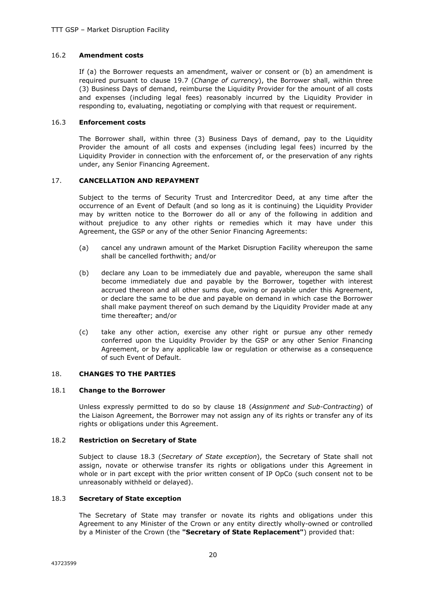# 16.2 **Amendment costs**

If (a) the Borrower requests an amendment, waiver or consent or (b) an amendment is required pursuant to clause 19.7 (*Change of currency*), the Borrower shall, within three (3) Business Days of demand, reimburse the Liquidity Provider for the amount of all costs and expenses (including legal fees) reasonably incurred by the Liquidity Provider in responding to, evaluating, negotiating or complying with that request or requirement.

# 16.3 **Enforcement costs**

The Borrower shall, within three (3) Business Days of demand, pay to the Liquidity Provider the amount of all costs and expenses (including legal fees) incurred by the Liquidity Provider in connection with the enforcement of, or the preservation of any rights under, any Senior Financing Agreement.

#### 17. **CANCELLATION AND REPAYMENT**

Subject to the terms of Security Trust and Intercreditor Deed, at any time after the occurrence of an Event of Default (and so long as it is continuing) the Liquidity Provider may by written notice to the Borrower do all or any of the following in addition and without prejudice to any other rights or remedies which it may have under this Agreement, the GSP or any of the other Senior Financing Agreements:

- (a) cancel any undrawn amount of the Market Disruption Facility whereupon the same shall be cancelled forthwith; and/or
- (b) declare any Loan to be immediately due and payable, whereupon the same shall become immediately due and payable by the Borrower, together with interest accrued thereon and all other sums due, owing or payable under this Agreement, or declare the same to be due and payable on demand in which case the Borrower shall make payment thereof on such demand by the Liquidity Provider made at any time thereafter; and/or
- (c) take any other action, exercise any other right or pursue any other remedy conferred upon the Liquidity Provider by the GSP or any other Senior Financing Agreement, or by any applicable law or regulation or otherwise as a consequence of such Event of Default.

# 18. **CHANGES TO THE PARTIES**

#### 18.1 **Change to the Borrower**

Unless expressly permitted to do so by clause 18 (*Assignment and Sub-Contracting*) of the Liaison Agreement, the Borrower may not assign any of its rights or transfer any of its rights or obligations under this Agreement.

# 18.2 **Restriction on Secretary of State**

Subject to clause 18.3 (*Secretary of State exception*), the Secretary of State shall not assign, novate or otherwise transfer its rights or obligations under this Agreement in whole or in part except with the prior written consent of IP OpCo (such consent not to be unreasonably withheld or delayed).

#### 18.3 **Secretary of State exception**

The Secretary of State may transfer or novate its rights and obligations under this Agreement to any Minister of the Crown or any entity directly wholly-owned or controlled by a Minister of the Crown (the **"Secretary of State Replacement"**) provided that: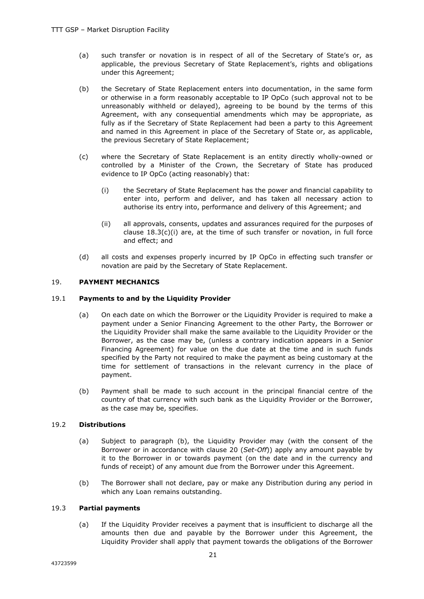- (a) such transfer or novation is in respect of all of the Secretary of State's or, as applicable, the previous Secretary of State Replacement's, rights and obligations under this Agreement;
- (b) the Secretary of State Replacement enters into documentation, in the same form or otherwise in a form reasonably acceptable to IP OpCo (such approval not to be unreasonably withheld or delayed), agreeing to be bound by the terms of this Agreement, with any consequential amendments which may be appropriate, as fully as if the Secretary of State Replacement had been a party to this Agreement and named in this Agreement in place of the Secretary of State or, as applicable, the previous Secretary of State Replacement;
- (c) where the Secretary of State Replacement is an entity directly wholly-owned or controlled by a Minister of the Crown, the Secretary of State has produced evidence to IP OpCo (acting reasonably) that:
	- (i) the Secretary of State Replacement has the power and financial capability to enter into, perform and deliver, and has taken all necessary action to authorise its entry into, performance and delivery of this Agreement; and
	- (ii) all approvals, consents, updates and assurances required for the purposes of clause  $18.3(c)(i)$  are, at the time of such transfer or novation, in full force and effect; and
- (d) all costs and expenses properly incurred by IP OpCo in effecting such transfer or novation are paid by the Secretary of State Replacement.

# 19. **PAYMENT MECHANICS**

# 19.1 **Payments to and by the Liquidity Provider**

- (a) On each date on which the Borrower or the Liquidity Provider is required to make a payment under a Senior Financing Agreement to the other Party, the Borrower or the Liquidity Provider shall make the same available to the Liquidity Provider or the Borrower, as the case may be, (unless a contrary indication appears in a Senior Financing Agreement) for value on the due date at the time and in such funds specified by the Party not required to make the payment as being customary at the time for settlement of transactions in the relevant currency in the place of payment.
- (b) Payment shall be made to such account in the principal financial centre of the country of that currency with such bank as the Liquidity Provider or the Borrower, as the case may be, specifies.

# 19.2 **Distributions**

- (a) Subject to paragraph (b), the Liquidity Provider may (with the consent of the Borrower or in accordance with clause 20 (*Set-Off*)) apply any amount payable by it to the Borrower in or towards payment (on the date and in the currency and funds of receipt) of any amount due from the Borrower under this Agreement.
- (b) The Borrower shall not declare, pay or make any Distribution during any period in which any Loan remains outstanding.

# 19.3 **Partial payments**

(a) If the Liquidity Provider receives a payment that is insufficient to discharge all the amounts then due and payable by the Borrower under this Agreement, the Liquidity Provider shall apply that payment towards the obligations of the Borrower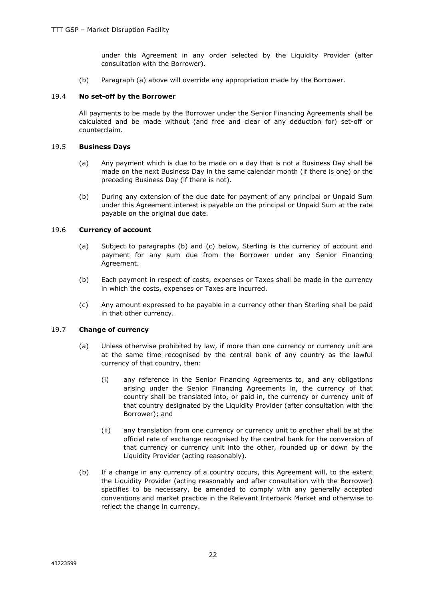under this Agreement in any order selected by the Liquidity Provider (after consultation with the Borrower).

(b) Paragraph (a) above will override any appropriation made by the Borrower.

# 19.4 **No set-off by the Borrower**

All payments to be made by the Borrower under the Senior Financing Agreements shall be calculated and be made without (and free and clear of any deduction for) set-off or counterclaim.

# 19.5 **Business Days**

- (a) Any payment which is due to be made on a day that is not a Business Day shall be made on the next Business Day in the same calendar month (if there is one) or the preceding Business Day (if there is not).
- (b) During any extension of the due date for payment of any principal or Unpaid Sum under this Agreement interest is payable on the principal or Unpaid Sum at the rate payable on the original due date.

# 19.6 **Currency of account**

- (a) Subject to paragraphs (b) and (c) below, Sterling is the currency of account and payment for any sum due from the Borrower under any Senior Financing Agreement.
- (b) Each payment in respect of costs, expenses or Taxes shall be made in the currency in which the costs, expenses or Taxes are incurred.
- (c) Any amount expressed to be payable in a currency other than Sterling shall be paid in that other currency.

# 19.7 **Change of currency**

- (a) Unless otherwise prohibited by law, if more than one currency or currency unit are at the same time recognised by the central bank of any country as the lawful currency of that country, then:
	- (i) any reference in the Senior Financing Agreements to, and any obligations arising under the Senior Financing Agreements in, the currency of that country shall be translated into, or paid in, the currency or currency unit of that country designated by the Liquidity Provider (after consultation with the Borrower); and
	- (ii) any translation from one currency or currency unit to another shall be at the official rate of exchange recognised by the central bank for the conversion of that currency or currency unit into the other, rounded up or down by the Liquidity Provider (acting reasonably).
- (b) If a change in any currency of a country occurs, this Agreement will, to the extent the Liquidity Provider (acting reasonably and after consultation with the Borrower) specifies to be necessary, be amended to comply with any generally accepted conventions and market practice in the Relevant Interbank Market and otherwise to reflect the change in currency.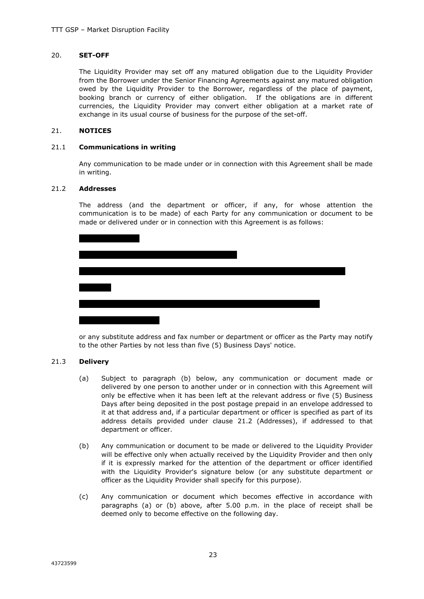# 20. **SET-OFF**

The Liquidity Provider may set off any matured obligation due to the Liquidity Provider from the Borrower under the Senior Financing Agreements against any matured obligation owed by the Liquidity Provider to the Borrower, regardless of the place of payment, booking branch or currency of either obligation. If the obligations are in different currencies, the Liquidity Provider may convert either obligation at a market rate of exchange in its usual course of business for the purpose of the set-off.

#### 21. **NOTICES**

#### 21.1 **Communications in writing**

Any communication to be made under or in connection with this Agreement shall be made in writing.

#### 21.2 **Addresses**

The address (and the department or officer, if any, for whose attention the communication is to be made) of each Party for any communication or document to be made or delivered under or in connection with this Agreement is as follows:

or any substitute address and fax number or department or officer as the Party may notify to the other Parties by not less than five (5) Business Days' notice.

# 21.3 **Delivery**

- (a) Subject to paragraph (b) below, any communication or document made or delivered by one person to another under or in connection with this Agreement will only be effective when it has been left at the relevant address or five (5) Business Days after being deposited in the post postage prepaid in an envelope addressed to it at that address and, if a particular department or officer is specified as part of its address details provided under clause 21.2 (Addresses), if addressed to that department or officer.
- (b) Any communication or document to be made or delivered to the Liquidity Provider will be effective only when actually received by the Liquidity Provider and then only if it is expressly marked for the attention of the department or officer identified with the Liquidity Provider's signature below (or any substitute department or officer as the Liquidity Provider shall specify for this purpose).
- (c) Any communication or document which becomes effective in accordance with paragraphs (a) or (b) above, after 5.00 p.m. in the place of receipt shall be deemed only to become effective on the following day.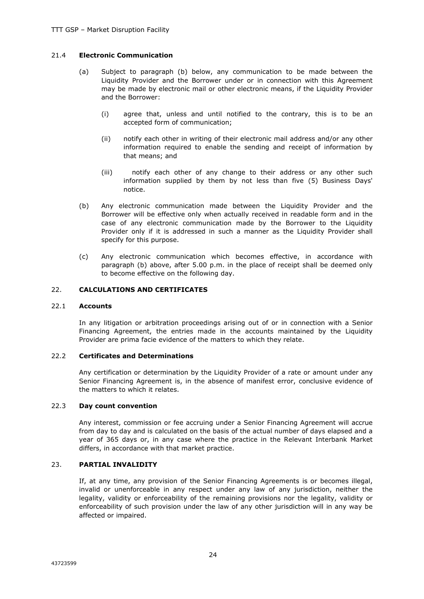# 21.4 **Electronic Communication**

- (a) Subject to paragraph (b) below, any communication to be made between the Liquidity Provider and the Borrower under or in connection with this Agreement may be made by electronic mail or other electronic means, if the Liquidity Provider and the Borrower:
	- (i) agree that, unless and until notified to the contrary, this is to be an accepted form of communication;
	- (ii) notify each other in writing of their electronic mail address and/or any other information required to enable the sending and receipt of information by that means; and
	- (iii) notify each other of any change to their address or any other such information supplied by them by not less than five (5) Business Days' notice.
- (b) Any electronic communication made between the Liquidity Provider and the Borrower will be effective only when actually received in readable form and in the case of any electronic communication made by the Borrower to the Liquidity Provider only if it is addressed in such a manner as the Liquidity Provider shall specify for this purpose.
- (c) Any electronic communication which becomes effective, in accordance with paragraph (b) above, after 5.00 p.m. in the place of receipt shall be deemed only to become effective on the following day.

# 22. **CALCULATIONS AND CERTIFICATES**

# 22.1 **Accounts**

In any litigation or arbitration proceedings arising out of or in connection with a Senior Financing Agreement, the entries made in the accounts maintained by the Liquidity Provider are prima facie evidence of the matters to which they relate.

# 22.2 **Certificates and Determinations**

Any certification or determination by the Liquidity Provider of a rate or amount under any Senior Financing Agreement is, in the absence of manifest error, conclusive evidence of the matters to which it relates.

# 22.3 **Day count convention**

Any interest, commission or fee accruing under a Senior Financing Agreement will accrue from day to day and is calculated on the basis of the actual number of days elapsed and a year of 365 days or, in any case where the practice in the Relevant Interbank Market differs, in accordance with that market practice.

# 23. **PARTIAL INVALIDITY**

If, at any time, any provision of the Senior Financing Agreements is or becomes illegal, invalid or unenforceable in any respect under any law of any jurisdiction, neither the legality, validity or enforceability of the remaining provisions nor the legality, validity or enforceability of such provision under the law of any other jurisdiction will in any way be affected or impaired.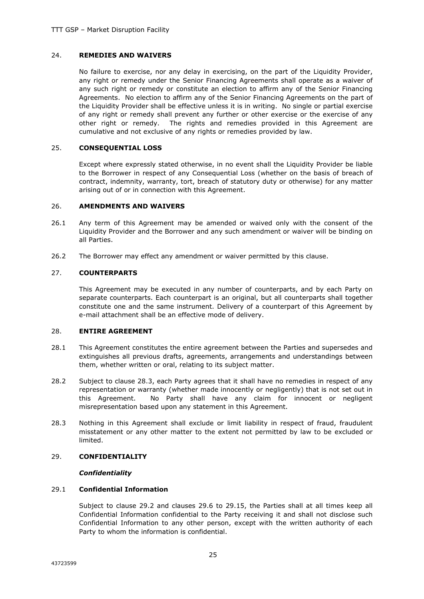#### 24. **REMEDIES AND WAIVERS**

No failure to exercise, nor any delay in exercising, on the part of the Liquidity Provider, any right or remedy under the Senior Financing Agreements shall operate as a waiver of any such right or remedy or constitute an election to affirm any of the Senior Financing Agreements. No election to affirm any of the Senior Financing Agreements on the part of the Liquidity Provider shall be effective unless it is in writing. No single or partial exercise of any right or remedy shall prevent any further or other exercise or the exercise of any other right or remedy. The rights and remedies provided in this Agreement are cumulative and not exclusive of any rights or remedies provided by law.

#### 25. **CONSEQUENTIAL LOSS**

Except where expressly stated otherwise, in no event shall the Liquidity Provider be liable to the Borrower in respect of any Consequential Loss (whether on the basis of breach of contract, indemnity, warranty, tort, breach of statutory duty or otherwise) for any matter arising out of or in connection with this Agreement.

#### 26. **AMENDMENTS AND WAIVERS**

- 26.1 Any term of this Agreement may be amended or waived only with the consent of the Liquidity Provider and the Borrower and any such amendment or waiver will be binding on all Parties.
- 26.2 The Borrower may effect any amendment or waiver permitted by this clause.

#### 27. **COUNTERPARTS**

This Agreement may be executed in any number of counterparts, and by each Party on separate counterparts. Each counterpart is an original, but all counterparts shall together constitute one and the same instrument. Delivery of a counterpart of this Agreement by e-mail attachment shall be an effective mode of delivery.

# 28. **ENTIRE AGREEMENT**

- 28.1 This Agreement constitutes the entire agreement between the Parties and supersedes and extinguishes all previous drafts, agreements, arrangements and understandings between them, whether written or oral, relating to its subject matter.
- 28.2 Subject to clause 28.3, each Party agrees that it shall have no remedies in respect of any representation or warranty (whether made innocently or negligently) that is not set out in this Agreement. No Party shall have any claim for innocent or negligent misrepresentation based upon any statement in this Agreement.
- 28.3 Nothing in this Agreement shall exclude or limit liability in respect of fraud, fraudulent misstatement or any other matter to the extent not permitted by law to be excluded or limited.

# 29. **CONFIDENTIALITY**

#### *Confidentiality*

# 29.1 **Confidential Information**

Subject to clause 29.2 and clauses 29.6 to 29.15, the Parties shall at all times keep all Confidential Information confidential to the Party receiving it and shall not disclose such Confidential Information to any other person, except with the written authority of each Party to whom the information is confidential.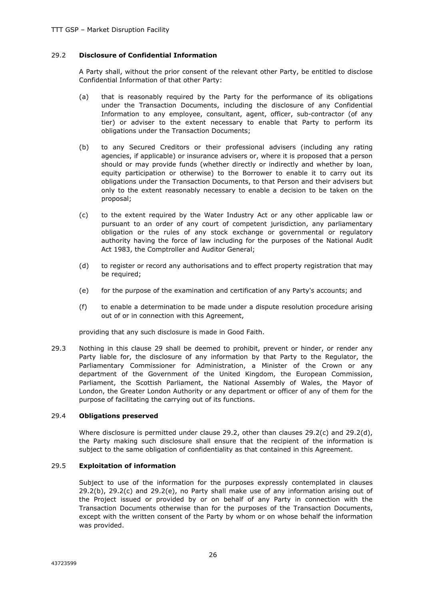# 29.2 **Disclosure of Confidential Information**

A Party shall, without the prior consent of the relevant other Party, be entitled to disclose Confidential Information of that other Party:

- (a) that is reasonably required by the Party for the performance of its obligations under the Transaction Documents, including the disclosure of any Confidential Information to any employee, consultant, agent, officer, sub-contractor (of any tier) or adviser to the extent necessary to enable that Party to perform its obligations under the Transaction Documents;
- (b) to any Secured Creditors or their professional advisers (including any rating agencies, if applicable) or insurance advisers or, where it is proposed that a person should or may provide funds (whether directly or indirectly and whether by loan, equity participation or otherwise) to the Borrower to enable it to carry out its obligations under the Transaction Documents, to that Person and their advisers but only to the extent reasonably necessary to enable a decision to be taken on the proposal;
- (c) to the extent required by the Water Industry Act or any other applicable law or pursuant to an order of any court of competent jurisdiction, any parliamentary obligation or the rules of any stock exchange or governmental or regulatory authority having the force of law including for the purposes of the National Audit Act 1983, the Comptroller and Auditor General;
- (d) to register or record any authorisations and to effect property registration that may be required;
- (e) for the purpose of the examination and certification of any Party's accounts; and
- (f) to enable a determination to be made under a dispute resolution procedure arising out of or in connection with this Agreement,

providing that any such disclosure is made in Good Faith.

29.3 Nothing in this clause 29 shall be deemed to prohibit, prevent or hinder, or render any Party liable for, the disclosure of any information by that Party to the Regulator, the Parliamentary Commissioner for Administration, a Minister of the Crown or any department of the Government of the United Kingdom, the European Commission, Parliament, the Scottish Parliament, the National Assembly of Wales, the Mayor of London, the Greater London Authority or any department or officer of any of them for the purpose of facilitating the carrying out of its functions.

# 29.4 **Obligations preserved**

Where disclosure is permitted under clause 29.2, other than clauses 29.2(c) and 29.2(d), the Party making such disclosure shall ensure that the recipient of the information is subject to the same obligation of confidentiality as that contained in this Agreement.

# 29.5 **Exploitation of information**

Subject to use of the information for the purposes expressly contemplated in clauses  $29.2(b)$ ,  $29.2(c)$  and  $29.2(e)$ , no Party shall make use of any information arising out of the Project issued or provided by or on behalf of any Party in connection with the Transaction Documents otherwise than for the purposes of the Transaction Documents, except with the written consent of the Party by whom or on whose behalf the information was provided.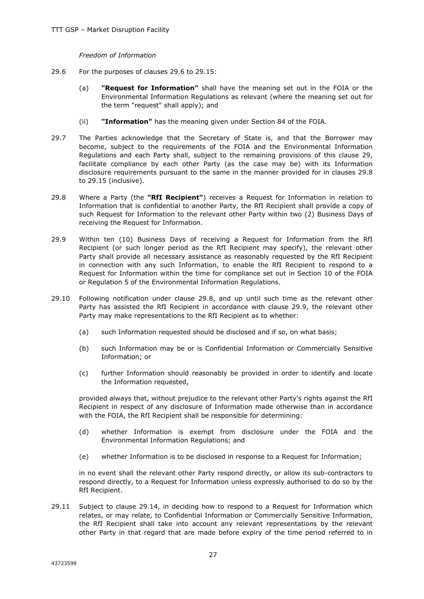*Freedom of Information*

- 29.6 For the purposes of clauses 29.6 to 29.15:
	- (a) **"Request for Information"** shall have the meaning set out in the FOIA or the Environmental Information Regulations as relevant (where the meaning set out for the term "request" shall apply); and
	- (ii) **"Information"** has the meaning given under Section 84 of the FOIA.
- 29.7 The Parties acknowledge that the Secretary of State is, and that the Borrower may become, subject to the requirements of the FOIA and the Environmental Information Regulations and each Party shall, subject to the remaining provisions of this clause 29, facilitate compliance by each other Party (as the case may be) with its Information disclosure requirements pursuant to the same in the manner provided for in clauses 29.8 to 29.15 (inclusive).
- 29.8 Where a Party (the **"RfI Recipient"**) receives a Request for Information in relation to Information that is confidential to another Party, the RfI Recipient shall provide a copy of such Request for Information to the relevant other Party within two (2) Business Days of receiving the Request for Information.
- 29.9 Within ten (10) Business Days of receiving a Request for Information from the RfI Recipient (or such longer period as the RfI Recipient may specify), the relevant other Party shall provide all necessary assistance as reasonably requested by the RfI Recipient in connection with any such Information, to enable the RfI Recipient to respond to a Request for Information within the time for compliance set out in Section 10 of the FOIA or Regulation 5 of the Environmental Information Regulations.
- 29.10 Following notification under clause 29.8, and up until such time as the relevant other Party has assisted the RfI Recipient in accordance with clause 29.9, the relevant other Party may make representations to the RfI Recipient as to whether:
	- (a) such Information requested should be disclosed and if so, on what basis;
	- (b) such Information may be or is Confidential Information or Commercially Sensitive Information; or
	- (c) further Information should reasonably be provided in order to identify and locate the Information requested,

provided always that, without prejudice to the relevant other Party's rights against the RfI Recipient in respect of any disclosure of Information made otherwise than in accordance with the FOIA, the RfI Recipient shall be responsible for determining:

- (d) whether Information is exempt from disclosure under the FOIA and the Environmental Information Regulations; and
- (e) whether Information is to be disclosed in response to a Request for Information;

in no event shall the relevant other Party respond directly, or allow its sub-contractors to respond directly, to a Request for Information unless expressly authorised to do so by the RfI Recipient.

29.11 Subject to clause 29.14, in deciding how to respond to a Request for Information which relates, or may relate, to Confidential Information or Commercially Sensitive Information, the RfI Recipient shall take into account any relevant representations by the relevant other Party in that regard that are made before expiry of the time period referred to in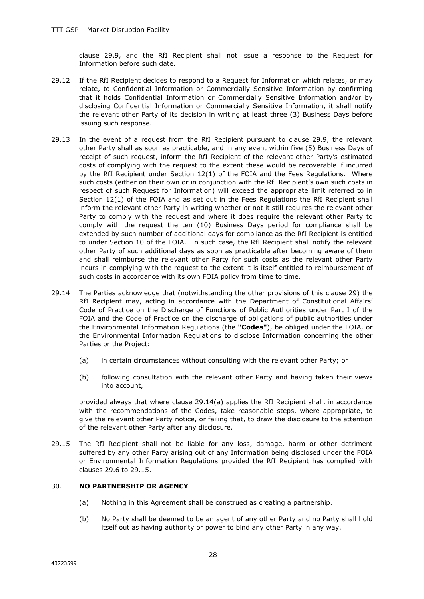clause 29.9, and the RfI Recipient shall not issue a response to the Request for Information before such date.

- 29.12 If the RfI Recipient decides to respond to a Request for Information which relates, or may relate, to Confidential Information or Commercially Sensitive Information by confirming that it holds Confidential Information or Commercially Sensitive Information and/or by disclosing Confidential Information or Commercially Sensitive Information, it shall notify the relevant other Party of its decision in writing at least three (3) Business Days before issuing such response.
- 29.13 In the event of a request from the RfI Recipient pursuant to clause 29.9, the relevant other Party shall as soon as practicable, and in any event within five (5) Business Days of receipt of such request, inform the RfI Recipient of the relevant other Party's estimated costs of complying with the request to the extent these would be recoverable if incurred by the RfI Recipient under Section 12(1) of the FOIA and the Fees Regulations. Where such costs (either on their own or in conjunction with the RfI Recipient's own such costs in respect of such Request for Information) will exceed the appropriate limit referred to in Section 12(1) of the FOIA and as set out in the Fees Regulations the RfI Recipient shall inform the relevant other Party in writing whether or not it still requires the relevant other Party to comply with the request and where it does require the relevant other Party to comply with the request the ten (10) Business Days period for compliance shall be extended by such number of additional days for compliance as the RfI Recipient is entitled to under Section 10 of the FOIA. In such case, the RfI Recipient shall notify the relevant other Party of such additional days as soon as practicable after becoming aware of them and shall reimburse the relevant other Party for such costs as the relevant other Party incurs in complying with the request to the extent it is itself entitled to reimbursement of such costs in accordance with its own FOIA policy from time to time.
- 29.14 The Parties acknowledge that (notwithstanding the other provisions of this clause 29) the RfI Recipient may, acting in accordance with the Department of Constitutional Affairs' Code of Practice on the Discharge of Functions of Public Authorities under Part I of the FOIA and the Code of Practice on the discharge of obligations of public authorities under the Environmental Information Regulations (the **"Codes"**), be obliged under the FOIA, or the Environmental Information Regulations to disclose Information concerning the other Parties or the Project:
	- (a) in certain circumstances without consulting with the relevant other Party; or
	- (b) following consultation with the relevant other Party and having taken their views into account,

provided always that where clause 29.14(a) applies the RfI Recipient shall, in accordance with the recommendations of the Codes, take reasonable steps, where appropriate, to give the relevant other Party notice, or failing that, to draw the disclosure to the attention of the relevant other Party after any disclosure.

29.15 The RfI Recipient shall not be liable for any loss, damage, harm or other detriment suffered by any other Party arising out of any Information being disclosed under the FOIA or Environmental Information Regulations provided the RfI Recipient has complied with clauses 29.6 to 29.15.

# 30. **NO PARTNERSHIP OR AGENCY**

- (a) Nothing in this Agreement shall be construed as creating a partnership.
- (b) No Party shall be deemed to be an agent of any other Party and no Party shall hold itself out as having authority or power to bind any other Party in any way.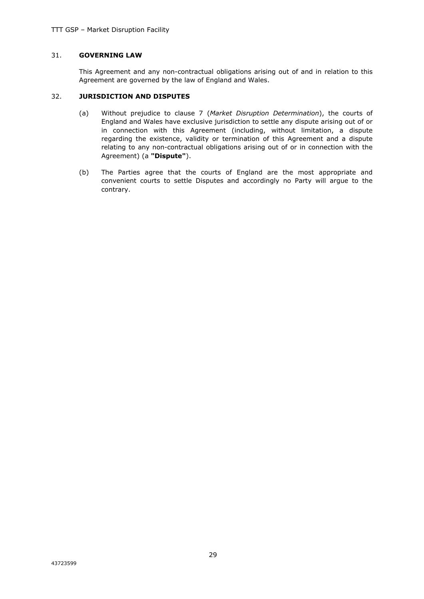# 31. **GOVERNING LAW**

This Agreement and any non-contractual obligations arising out of and in relation to this Agreement are governed by the law of England and Wales.

# 32. **JURISDICTION AND DISPUTES**

- (a) Without prejudice to clause 7 (*Market Disruption Determination*), the courts of England and Wales have exclusive jurisdiction to settle any dispute arising out of or in connection with this Agreement (including, without limitation, a dispute regarding the existence, validity or termination of this Agreement and a dispute relating to any non-contractual obligations arising out of or in connection with the Agreement) (a **"Dispute"**).
- (b) The Parties agree that the courts of England are the most appropriate and convenient courts to settle Disputes and accordingly no Party will argue to the contrary.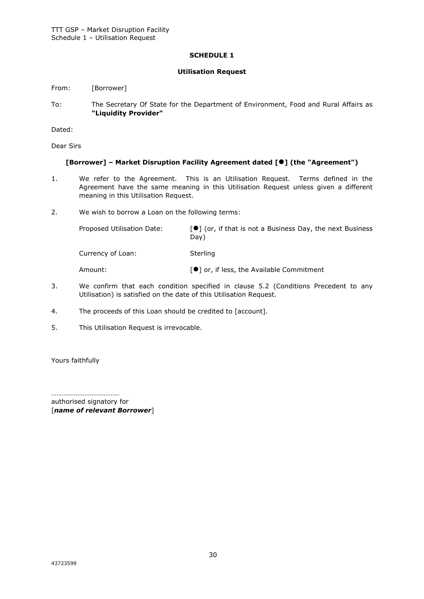# **SCHEDULE 1**

# **Utilisation Request**

From: [Borrower]

To: The Secretary Of State for the Department of Environment, Food and Rural Affairs as **"Liquidity Provider"**

Dated:

Dear Sirs

# **[Borrower] – Market Disruption Facility Agreement dated [] (the "Agreement")**

- 1. We refer to the Agreement. This is an Utilisation Request. Terms defined in the Agreement have the same meaning in this Utilisation Request unless given a different meaning in this Utilisation Request.
- 2. We wish to borrow a Loan on the following terms:

Proposed Utilisation Date:  $[\bullet]$  (or, if that is not a Business Day, the next Business Day) Currency of Loan: Sterling Amount: state and a set of a low of a loss, the Available Commitment

- 3. We confirm that each condition specified in clause 5.2 (Conditions Precedent to any Utilisation) is satisfied on the date of this Utilisation Request.
- 4. The proceeds of this Loan should be credited to [account].
- 5. This Utilisation Request is irrevocable.

Yours faithfully

…………………………………

authorised signatory for [*name of relevant Borrower*]